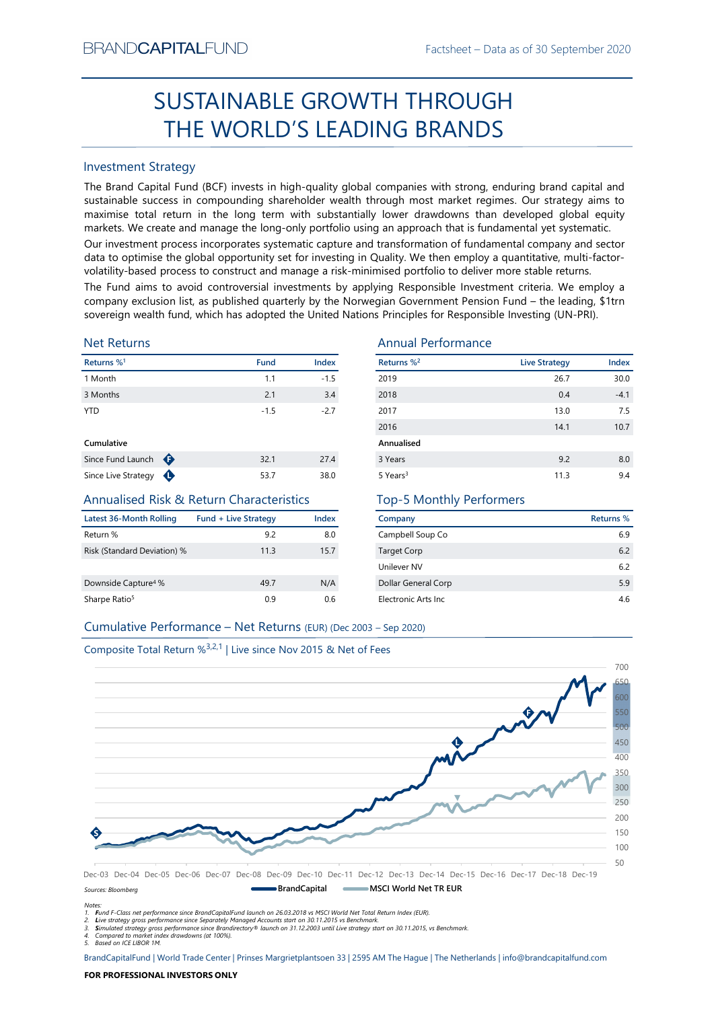# Factsheet – Data as of 30 September 2020<br> **HROUGH** SUSTAINABLE GROWTH THROUGH THE WORLD'S LEADING BRANDS

# Investment Strategy

FRAND-CAPTIALI-UND<br>
FRAND-CAPTIALI-UND<br>
FRANDIS<br>
SUSTAINABLE GROWTH THROUGH<br>
THE WORLD'S LEADING BRANDS<br>
Investment Strategy<br>
The Barad Captible Turns in the long-resulting plobal companies with strong, enduring brand cap SUSTAINABLE GROWTH THROUGH<br>
THE WORLD'S LEADING BRANDS<br>
Investment Strategy<br>
IThe Brand Gapital Fund (8CF) invests in high-quality global companies with strong, enduring brand capital and<br>
sustainable success in compoundi BRAND**CAPITAL**FUND<br>
SUSTAINABLE GROWTH THROUGH<br>
THE WORLD'S LEADING BRANDS<br>
Investment Strategy<br>
The Brand Capital Fund (BCF) invests in high-quality global companies with strong, enduring brand capital and<br>
sustainable su BRAND**CAPITAL**FUND<br>
Factsheet – Data as of 30 September 2020<br>
SUSTAINABLE GROWTH THROUGH<br>
THE WORLD'S LEADING BRANDS<br>
Investment Strategy<br>
The Brand Capital Fund (BCF) invests in high-quality global companies with strong, BRAND**CAPITAL**FUND<br>
SUSTAINABLE GROWTH THROUGH<br>
THE WORLD'S LEADING BRANDS<br>
Investment Strategy<br>
Inte Brand Capital Fund (BCF) invests in high-quality global companies with strong, enduring brand capital and<br>
sustainable s BRAND**CAPITAL**FUND<br>
Factsheet – Data as of 30 September 2020<br>
SUSTAINABLE GROWTH THROUGH<br>
THE WORLD'S LEADING BRANDS<br>
Investment Strategy<br>
Investment Strategy<br>
The Brand Capital Fund (BCF) invests in high-quality global co BRAND**CAPITAL**FUND Factsheet – Data as of 30 September 2020<br>
SUSTAINABLE GROWTH THROUGH<br>
THE WORLD'S LEADING BRANDS<br>
Investment Strategy<br>
Investment Strategy<br>
Investment Strategy<br>
Investment Strategy<br>
Investment Strategy<br> BRAND**CAPITAL**FUND Factsheet – Data as of 30 September 2020<br>
SUSTAINABLE GROWTH THROUGH<br>
THE WORLD'S LEADING BRANDS<br>
Investment Strategy<br>
The Brand Capital Fund (BCF) invests in high-quality global companies with strong, e BRANDCAPITALFUND<br>
SUSTAINABLE GROWTH THROUGH<br>
THE WORLD'S LEADING BRANDS<br>
Investment Strategy<br>
The Brand Capital Fund (BCF) invests in high-quality global companies with strong, enduring brand capital and<br>
sustainable succ EXANDCAPITALFUND<br>
SUSTAINABLE GROWTH THROUGH<br>
THE WORLD'S LEADING BRANDS<br>
Investment Strategy<br>
Investment Strategy<br>
Investment Strategy<br>
Investment Strategy<br>
Investment Strategy<br>
Alta responsible success in compounding sha **EXAMDCAPITALFUND**<br>
SUSTAINABLE GROWTH THROUGH<br>
THE WORLD'S LEADING BRANDS<br>
Investment Strategy<br>
The Brand Capital Fund (BCF) invests in high-quality global companies with strong, enduring brand capital and<br>
sustsismable BRAND**CAPITAL**FUND<br>
SUSTAINABLE GROWTH THROUGH<br>
THE WORLD'S LEADING BRANDDS<br>
Investment Strategy<br>
Investment Strategy<br>
Investment Strategy<br>
Investment Strategy<br>
Sustainable success in compounding shareholder wealth funoupl

# Net Returns

| Returns % <sup>1</sup> |   | <b>Fund</b> | <b>Index</b> |
|------------------------|---|-------------|--------------|
| 1 Month                |   | 1.1         | $-1.5$       |
| 3 Months               |   | 2.1         | 3.4          |
| <b>YTD</b>             |   | $-1.5$      | $-2.7$       |
| Cumulative             |   |             |              |
| Since Fund Launch      | ⊕ | 32.1        | 27.4         |
|                        |   |             |              |

# Annualised Risk & Return Characteristics

| Latest 36-Month Rolling         | <b>Fund + Live Strategy</b> | Index |
|---------------------------------|-----------------------------|-------|
| Return %                        | 9.2                         | 8.0   |
| Risk (Standard Deviation) %     | 11.3                        | 15.7  |
| Downside Capture <sup>4</sup> % | 49.7                        | N/A   |
| Sharpe Ratio <sup>5</sup>       | 0.9                         | 0.6   |

# Annual Performance

| BRANU <b>UAPHAL</b> FUND                                                      |                             |                      |                                 | Factsheet – Data as of 30 September 2020                                                                                                                                                                                                                                                                                                                                                                                                                                                                                                                                                                                                                                                                                                                                                              |           |
|-------------------------------------------------------------------------------|-----------------------------|----------------------|---------------------------------|-------------------------------------------------------------------------------------------------------------------------------------------------------------------------------------------------------------------------------------------------------------------------------------------------------------------------------------------------------------------------------------------------------------------------------------------------------------------------------------------------------------------------------------------------------------------------------------------------------------------------------------------------------------------------------------------------------------------------------------------------------------------------------------------------------|-----------|
|                                                                               |                             |                      | SUSTAINABLE GROWTH THROUGH      |                                                                                                                                                                                                                                                                                                                                                                                                                                                                                                                                                                                                                                                                                                                                                                                                       |           |
|                                                                               |                             |                      | THE WORLD'S LEADING BRANDS      |                                                                                                                                                                                                                                                                                                                                                                                                                                                                                                                                                                                                                                                                                                                                                                                                       |           |
| <b>Investment Strategy</b>                                                    |                             |                      |                                 |                                                                                                                                                                                                                                                                                                                                                                                                                                                                                                                                                                                                                                                                                                                                                                                                       |           |
|                                                                               |                             |                      |                                 | The Brand Capital Fund (BCF) invests in high-quality global companies with strong, enduring brand capital and<br>sustainable success in compounding shareholder wealth through most market regimes. Our strategy aims to<br>maximise total return in the long term with substantially lower drawdowns than developed global equity<br>markets. We create and manage the long-only portfolio using an approach that is fundamental yet systematic.<br>Our investment process incorporates systematic capture and transformation of fundamental company and sector<br>data to optimise the global opportunity set for investing in Quality. We then employ a quantitative, multi-factor-<br>volatility-based process to construct and manage a risk-minimised portfolio to deliver more stable returns. |           |
|                                                                               |                             |                      |                                 | The Fund aims to avoid controversial investments by applying Responsible Investment criteria. We employ a<br>company exclusion list, as published quarterly by the Norwegian Government Pension Fund - the leading, \$1trn<br>sovereign wealth fund, which has adopted the United Nations Principles for Responsible Investing (UN-PRI).                                                                                                                                                                                                                                                                                                                                                                                                                                                              |           |
| <b>Net Returns</b>                                                            |                             |                      | <b>Annual Performance</b>       |                                                                                                                                                                                                                                                                                                                                                                                                                                                                                                                                                                                                                                                                                                                                                                                                       |           |
| Returns % <sup>1</sup>                                                        |                             | Index<br><b>Fund</b> | Returns % <sup>2</sup>          | <b>Live Strategy</b>                                                                                                                                                                                                                                                                                                                                                                                                                                                                                                                                                                                                                                                                                                                                                                                  | Index     |
| 1 Month                                                                       |                             | 1.1                  | $-1.5$<br>2019                  | 26.7                                                                                                                                                                                                                                                                                                                                                                                                                                                                                                                                                                                                                                                                                                                                                                                                  | 30.0      |
| 3 Months                                                                      |                             | 2.1                  | 3.4<br>2018                     | 0.4                                                                                                                                                                                                                                                                                                                                                                                                                                                                                                                                                                                                                                                                                                                                                                                                   | $-4.1$    |
| <b>YTD</b>                                                                    |                             | $-1.5$               | $-2.7$<br>2017                  | 13.0                                                                                                                                                                                                                                                                                                                                                                                                                                                                                                                                                                                                                                                                                                                                                                                                  | 7.5       |
|                                                                               |                             |                      | 2016                            | 14.1                                                                                                                                                                                                                                                                                                                                                                                                                                                                                                                                                                                                                                                                                                                                                                                                  | 10.7      |
| Cumulative                                                                    |                             |                      | Annualised                      |                                                                                                                                                                                                                                                                                                                                                                                                                                                                                                                                                                                                                                                                                                                                                                                                       |           |
| Since Fund Launch $\bigoplus$                                                 |                             | 32.1                 | 27.4<br>3 Years                 | 9.2                                                                                                                                                                                                                                                                                                                                                                                                                                                                                                                                                                                                                                                                                                                                                                                                   | 8.0       |
| Since Live Strategy $\bigoplus$                                               |                             | 53.7                 | 38.0<br>5 Years <sup>3</sup>    | 11.3                                                                                                                                                                                                                                                                                                                                                                                                                                                                                                                                                                                                                                                                                                                                                                                                  | 9.4       |
| <b>Annualised Risk &amp; Return Characteristics</b>                           |                             |                      | <b>Top-5 Monthly Performers</b> |                                                                                                                                                                                                                                                                                                                                                                                                                                                                                                                                                                                                                                                                                                                                                                                                       |           |
| <b>Latest 36-Month Rolling</b>                                                | <b>Fund + Live Strategy</b> | <b>Index</b>         | Company                         |                                                                                                                                                                                                                                                                                                                                                                                                                                                                                                                                                                                                                                                                                                                                                                                                       | Returns % |
| Return %                                                                      |                             | 9.2                  | Campbell Soup Co<br>8.0         |                                                                                                                                                                                                                                                                                                                                                                                                                                                                                                                                                                                                                                                                                                                                                                                                       | 6.9       |
| Risk (Standard Deviation) %                                                   |                             | 11.3                 | 15.7<br>Target Corp             |                                                                                                                                                                                                                                                                                                                                                                                                                                                                                                                                                                                                                                                                                                                                                                                                       | 6.2       |
|                                                                               |                             |                      | Unilever NV                     |                                                                                                                                                                                                                                                                                                                                                                                                                                                                                                                                                                                                                                                                                                                                                                                                       | 6.2       |
| Downside Capture <sup>4</sup> %                                               |                             | 49.7                 | N/A<br>Dollar General Corp      |                                                                                                                                                                                                                                                                                                                                                                                                                                                                                                                                                                                                                                                                                                                                                                                                       | 5.9       |
| Sharpe Ratio <sup>5</sup>                                                     |                             | 0.9                  | 0.6<br>Electronic Arts Inc      |                                                                                                                                                                                                                                                                                                                                                                                                                                                                                                                                                                                                                                                                                                                                                                                                       | 4.6       |
| Cumulative Performance - Net Returns (EUR) (Dec 2003 - Sep 2020)              |                             |                      |                                 |                                                                                                                                                                                                                                                                                                                                                                                                                                                                                                                                                                                                                                                                                                                                                                                                       |           |
|                                                                               |                             |                      |                                 |                                                                                                                                                                                                                                                                                                                                                                                                                                                                                                                                                                                                                                                                                                                                                                                                       |           |
| Composite Total Return % <sup>3,2,1</sup>   Live since Nov 2015 & Net of Fees |                             |                      |                                 |                                                                                                                                                                                                                                                                                                                                                                                                                                                                                                                                                                                                                                                                                                                                                                                                       |           |
|                                                                               |                             |                      |                                 |                                                                                                                                                                                                                                                                                                                                                                                                                                                                                                                                                                                                                                                                                                                                                                                                       |           |
|                                                                               |                             |                      |                                 |                                                                                                                                                                                                                                                                                                                                                                                                                                                                                                                                                                                                                                                                                                                                                                                                       |           |
|                                                                               |                             |                      |                                 |                                                                                                                                                                                                                                                                                                                                                                                                                                                                                                                                                                                                                                                                                                                                                                                                       |           |

# Top-5 Monthly Performers

| Company              | Returns % |
|----------------------|-----------|
| Campbell Soup Co     | 6.9       |
| <b>Target Corp</b>   | 6.2       |
| Unilever NV          | 6.2       |
| Dollar General Corp  | 5.9       |
| Electronic Arts Inc. | 4.6       |





Notes: 1. Fund F-Class net performance since BrandCapitalFund launch on 26.03.2018 vs MSCI World Net Total Return Index (EUR).

2. Live strategy gross performance since Separately Managed Accounts start on 30.11.2015 vs Benchmark.<br>3. Simulated strategy gross performance since Brandirectory® launch on 31.12.2003 until Live strategy start on 30.11.20

5. Based on ICE LIBOR 1M.